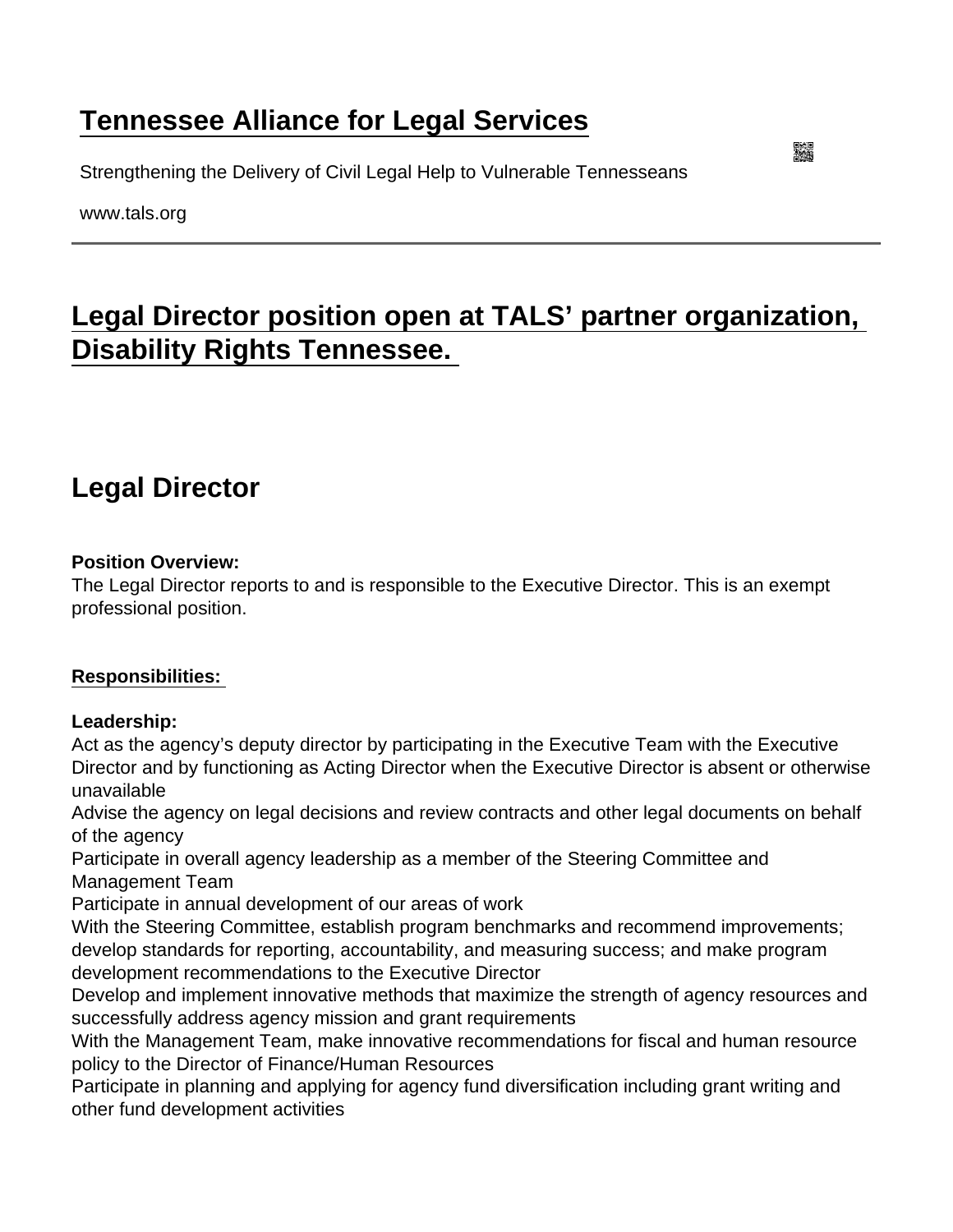# [Tennessee Alliance for Legal Services](https://www.tals.org/)

Strengthening the Delivery of Civil Legal Help to Vulnerable Tennesseans

www.tals.org

# [Legal Director position open at TALS' partner organization,](https://www.tals.org/node/1074/legal-director-position-open-tals’-partner-organization-disability-rights-tennessee)  [Disability Rights Tennessee.](https://www.tals.org/node/1074/legal-director-position-open-tals’-partner-organization-disability-rights-tennessee)

# Legal Director

Position Overview:

The Legal Director reports to and is responsible to the Executive Director. This is an exempt professional position.

### Responsibilities:

Leadership:

Act as the agency's deputy director by participating in the Executive Team with the Executive Director and by functioning as Acting Director when the Executive Director is absent or otherwise unavailable

Advise the agency on legal decisions and review contracts and other legal documents on behalf of the agency

Participate in overall agency leadership as a member of the Steering Committee and Management Team

Participate in annual development of our areas of work

With the Steering Committee, establish program benchmarks and recommend improvements; develop standards for reporting, accountability, and measuring success; and make program development recommendations to the Executive Director

Develop and implement innovative methods that maximize the strength of agency resources and successfully address agency mission and grant requirements

With the Management Team, make innovative recommendations for fiscal and human resource policy to the Director of Finance/Human Resources

Participate in planning and applying for agency fund diversification including grant writing and other fund development activities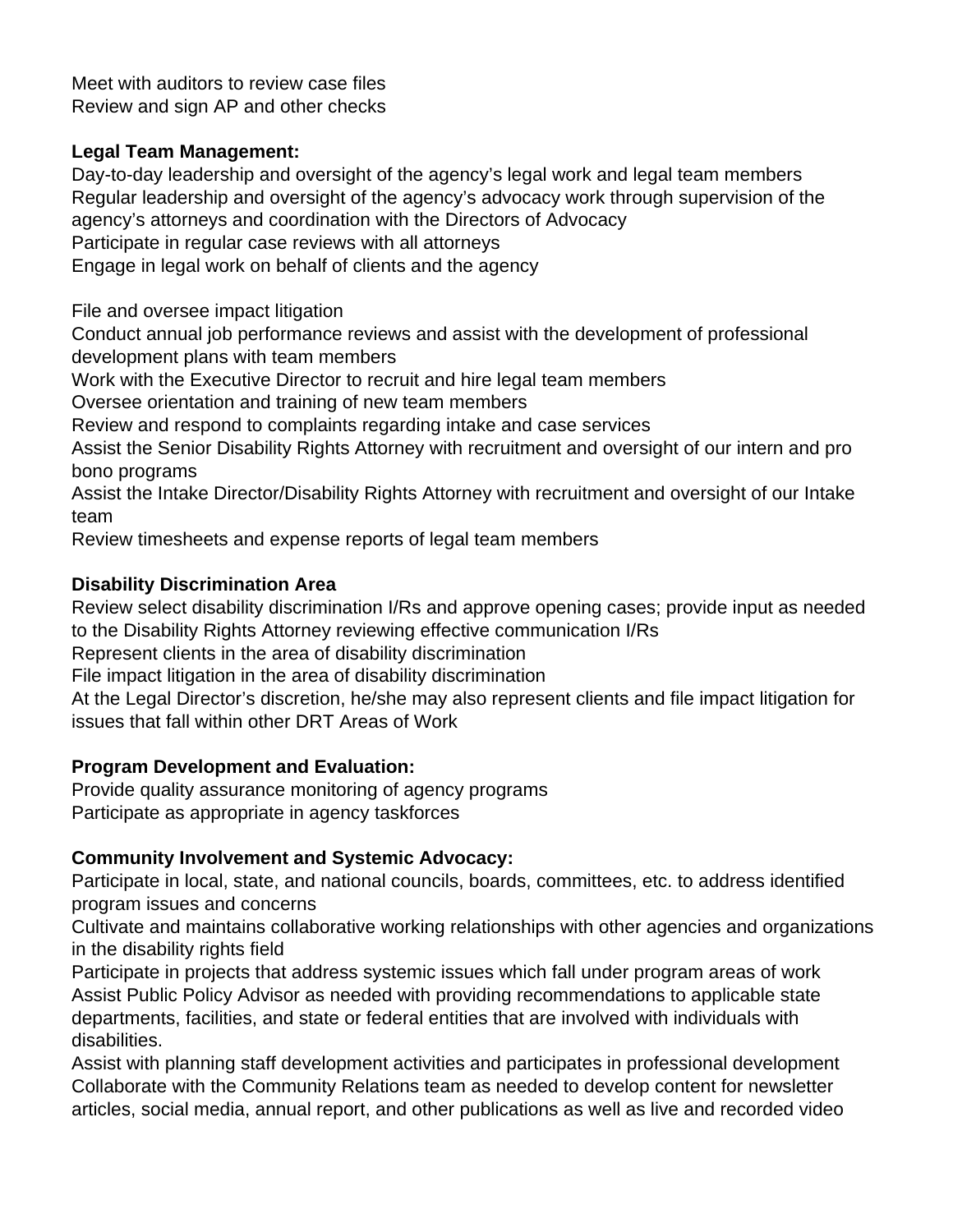Meet with auditors to review case files Review and sign AP and other checks

### **Legal Team Management:**

Day-to-day leadership and oversight of the agency's legal work and legal team members Regular leadership and oversight of the agency's advocacy work through supervision of the agency's attorneys and coordination with the Directors of Advocacy Participate in regular case reviews with all attorneys Engage in legal work on behalf of clients and the agency

File and oversee impact litigation

Conduct annual job performance reviews and assist with the development of professional development plans with team members

Work with the Executive Director to recruit and hire legal team members

Oversee orientation and training of new team members

Review and respond to complaints regarding intake and case services

Assist the Senior Disability Rights Attorney with recruitment and oversight of our intern and pro bono programs

Assist the Intake Director/Disability Rights Attorney with recruitment and oversight of our Intake team

Review timesheets and expense reports of legal team members

## **Disability Discrimination Area**

Review select disability discrimination I/Rs and approve opening cases; provide input as needed to the Disability Rights Attorney reviewing effective communication I/Rs

Represent clients in the area of disability discrimination

File impact litigation in the area of disability discrimination

At the Legal Director's discretion, he/she may also represent clients and file impact litigation for issues that fall within other DRT Areas of Work

## **Program Development and Evaluation:**

Provide quality assurance monitoring of agency programs Participate as appropriate in agency taskforces

## **Community Involvement and Systemic Advocacy:**

Participate in local, state, and national councils, boards, committees, etc. to address identified program issues and concerns

Cultivate and maintains collaborative working relationships with other agencies and organizations in the disability rights field

Participate in projects that address systemic issues which fall under program areas of work Assist Public Policy Advisor as needed with providing recommendations to applicable state departments, facilities, and state or federal entities that are involved with individuals with disabilities.

Assist with planning staff development activities and participates in professional development Collaborate with the Community Relations team as needed to develop content for newsletter articles, social media, annual report, and other publications as well as live and recorded video